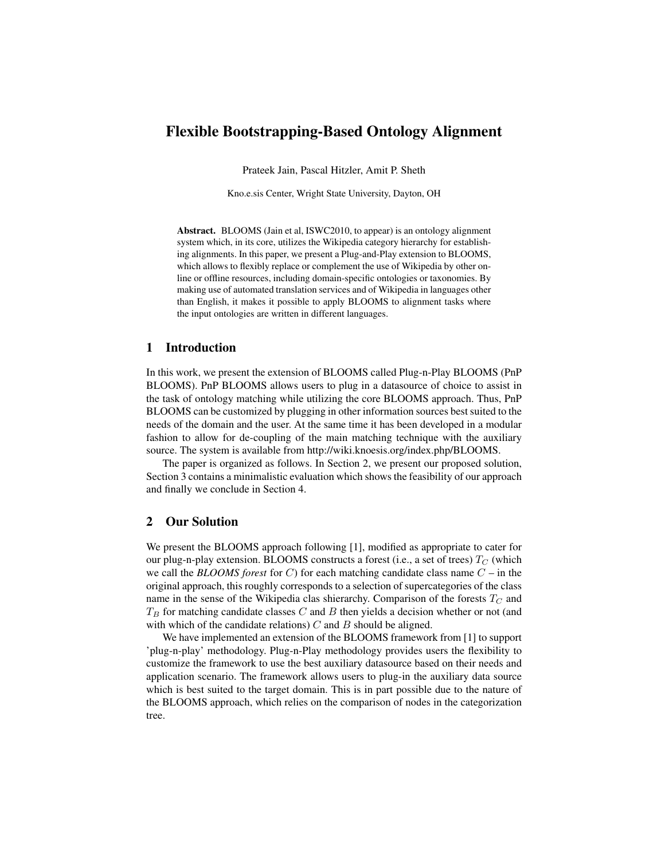# Flexible Bootstrapping-Based Ontology Alignment

Prateek Jain, Pascal Hitzler, Amit P. Sheth

Kno.e.sis Center, Wright State University, Dayton, OH

Abstract. BLOOMS (Jain et al, ISWC2010, to appear) is an ontology alignment system which, in its core, utilizes the Wikipedia category hierarchy for establishing alignments. In this paper, we present a Plug-and-Play extension to BLOOMS, which allows to flexibly replace or complement the use of Wikipedia by other online or offline resources, including domain-specific ontologies or taxonomies. By making use of automated translation services and of Wikipedia in languages other than English, it makes it possible to apply BLOOMS to alignment tasks where the input ontologies are written in different languages.

#### 1 Introduction

In this work, we present the extension of BLOOMS called Plug-n-Play BLOOMS (PnP BLOOMS). PnP BLOOMS allows users to plug in a datasource of choice to assist in the task of ontology matching while utilizing the core BLOOMS approach. Thus, PnP BLOOMS can be customized by plugging in other information sources best suited to the needs of the domain and the user. At the same time it has been developed in a modular fashion to allow for de-coupling of the main matching technique with the auxiliary source. The system is available from http://wiki.knoesis.org/index.php/BLOOMS.

The paper is organized as follows. In Section 2, we present our proposed solution, Section 3 contains a minimalistic evaluation which shows the feasibility of our approach and finally we conclude in Section 4.

#### 2 Our Solution

We present the BLOOMS approach following [1], modified as appropriate to cater for our plug-n-play extension. BLOOMS constructs a forest (i.e., a set of trees)  $T_C$  (which we call the *BLOOMS forest* for C) for each matching candidate class name C – in the original approach, this roughly corresponds to a selection of supercategories of the class name in the sense of the Wikipedia clas shierarchy. Comparison of the forests  $T_C$  and  $T_B$  for matching candidate classes C and B then yields a decision whether or not (and with which of the candidate relations)  $C$  and  $B$  should be aligned.

We have implemented an extension of the BLOOMS framework from [1] to support 'plug-n-play' methodology. Plug-n-Play methodology provides users the flexibility to customize the framework to use the best auxiliary datasource based on their needs and application scenario. The framework allows users to plug-in the auxiliary data source which is best suited to the target domain. This is in part possible due to the nature of the BLOOMS approach, which relies on the comparison of nodes in the categorization tree.